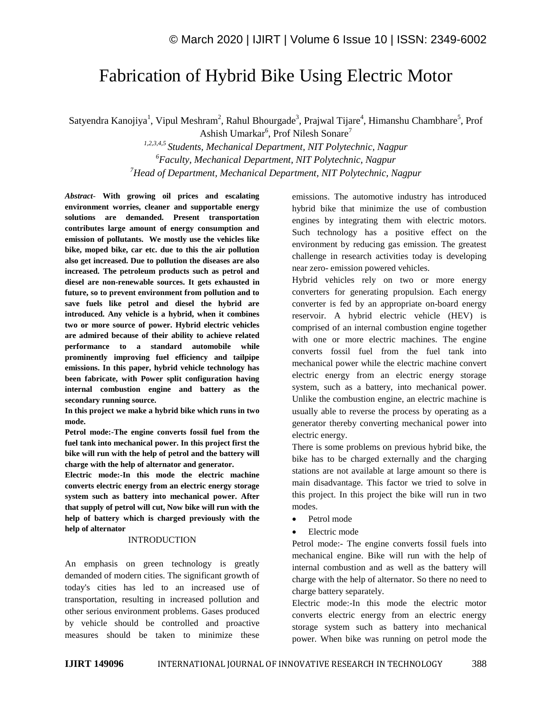# Fabrication of Hybrid Bike Using Electric Motor

Satyendra Kanojiya<sup>1</sup>, Vipul Meshram<sup>2</sup>, Rahul Bhourgade<sup>3</sup>, Prajwal Tijare<sup>4</sup>, Himanshu Chambhare<sup>5</sup>, Prof

Ashish Umarkar<sup>6</sup>, Prof Nilesh Sonare<sup>7</sup> *1,2,3,4,5 Students, Mechanical Department, NIT Polytechnic, Nagpur <sup>6</sup>Faculty, Mechanical Department, NIT Polytechnic, Nagpur <sup>7</sup>Head of Department, Mechanical Department, NIT Polytechnic, Nagpur*

*Abstract*- **With growing oil prices and escalating environment worries, cleaner and supportable energy solutions are demanded. Present transportation contributes large amount of energy consumption and emission of pollutants. We mostly use the vehicles like bike, moped bike, car etc. due to this the air pollution also get increased. Due to pollution the diseases are also increased. The petroleum products such as petrol and diesel are non-renewable sources. It gets exhausted in future, so to prevent environment from pollution and to save fuels like petrol and diesel the hybrid are introduced. Any vehicle is a hybrid, when it combines two or more source of power. Hybrid electric vehicles are admired because of their ability to achieve related performance to a standard automobile while prominently improving fuel efficiency and tailpipe emissions. In this paper, hybrid vehicle technology has been fabricate, with Power split configuration having internal combustion engine and battery as the secondary running source.**

**In this project we make a hybrid bike which runs in two mode.**

**Petrol mode:-The engine converts fossil fuel from the fuel tank into mechanical power. In this project first the bike will run with the help of petrol and the battery will charge with the help of alternator and generator.**

**Electric mode:-In this mode the electric machine converts electric energy from an electric energy storage system such as battery into mechanical power. After that supply of petrol will cut, Now bike will run with the help of battery which is charged previously with the help of alternator**

## INTRODUCTION

An emphasis on green technology is greatly demanded of modern cities. The significant growth of today's cities has led to an increased use of transportation, resulting in increased pollution and other serious environment problems. Gases produced by vehicle should be controlled and proactive measures should be taken to minimize these emissions. The automotive industry has introduced hybrid bike that minimize the use of combustion engines by integrating them with electric motors. Such technology has a positive effect on the environment by reducing gas emission. The greatest challenge in research activities today is developing near zero- emission powered vehicles.

Hybrid vehicles rely on two or more energy converters for generating propulsion. Each energy converter is fed by an appropriate on-board energy reservoir. A hybrid electric vehicle (HEV) is comprised of an internal combustion engine together with one or more electric machines. The engine converts fossil fuel from the fuel tank into mechanical power while the electric machine convert electric energy from an electric energy storage system, such as a battery, into mechanical power. Unlike the combustion engine, an electric machine is usually able to reverse the process by operating as a generator thereby converting mechanical power into electric energy.

There is some problems on previous hybrid bike, the bike has to be charged externally and the charging stations are not available at large amount so there is main disadvantage. This factor we tried to solve in this project. In this project the bike will run in two modes.

- Petrol mode
- Electric mode

Petrol mode:- The engine converts fossil fuels into mechanical engine. Bike will run with the help of internal combustion and as well as the battery will charge with the help of alternator. So there no need to charge battery separately.

Electric mode:-In this mode the electric motor converts electric energy from an electric energy storage system such as battery into mechanical power. When bike was running on petrol mode the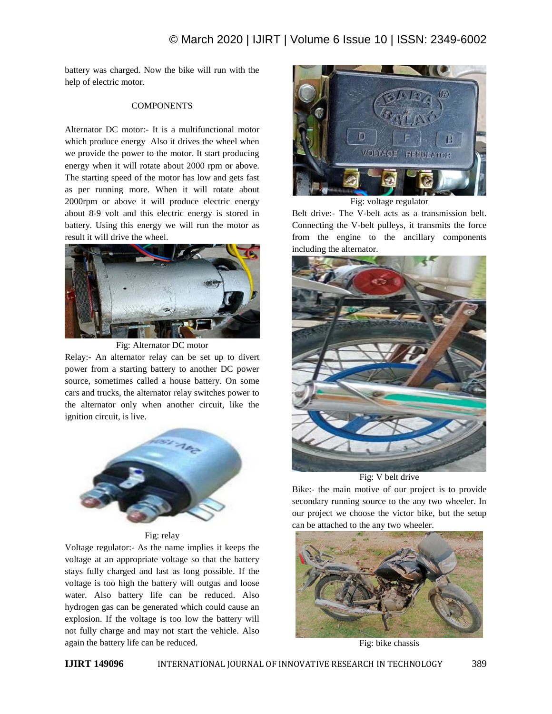battery was charged. Now the bike will run with the help of electric motor.

# **COMPONENTS**

Alternator DC motor:- It is a multifunctional motor which produce energy Also it drives the wheel when we provide the power to the motor. It start producing energy when it will rotate about 2000 rpm or above. The starting speed of the motor has low and gets fast as per running more. When it will rotate about 2000rpm or above it will produce electric energy about 8-9 volt and this electric energy is stored in battery. Using this energy we will run the motor as result it will drive the wheel.



Fig: Alternator DC motor

Relay:- An alternator relay can be set up to divert power from a starting battery to another DC power source, sometimes called a house battery. On some cars and trucks, the alternator relay switches power to the alternator only when another circuit, like the ignition circuit, is live.



Fig: relay

Voltage regulator:- As the name implies it keeps the voltage at an appropriate voltage so that the battery stays fully charged and last as long possible. If the voltage is too high the battery will outgas and loose water. Also battery life can be reduced. Also hydrogen gas can be generated which could cause an explosion. If the voltage is too low the battery will not fully charge and may not start the vehicle. Also again the battery life can be reduced.



Fig: voltage regulator

Belt drive:- The V-belt acts as a transmission belt. Connecting the V-belt pulleys, it transmits the force from the engine to the ancillary components including the alternator.



Fig: V belt drive

Bike:- the main motive of our project is to provide secondary running source to the any two wheeler. In our project we choose the victor bike, but the setup can be attached to the any two wheeler.



Fig: bike chassis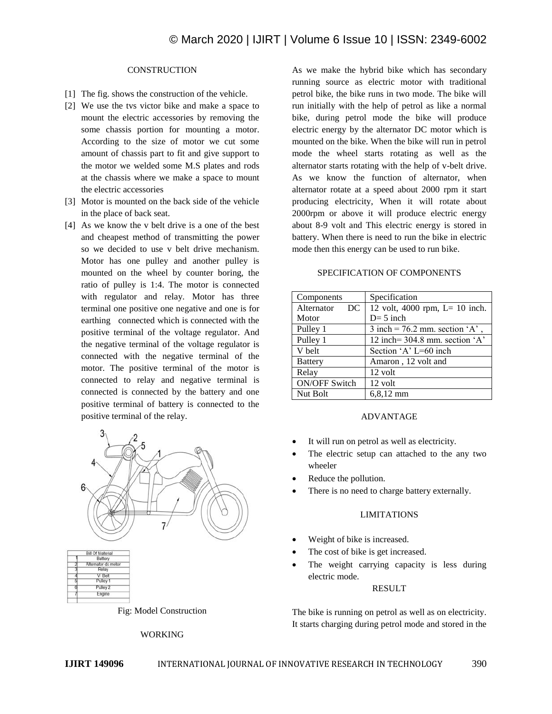# **CONSTRUCTION**

- [1] The fig. shows the construction of the vehicle.
- [2] We use the tvs victor bike and make a space to mount the electric accessories by removing the some chassis portion for mounting a motor. According to the size of motor we cut some amount of chassis part to fit and give support to the motor we welded some M.S plates and rods at the chassis where we make a space to mount the electric accessories
- [3] Motor is mounted on the back side of the vehicle in the place of back seat.
- [4] As we know the v belt drive is a one of the best and cheapest method of transmitting the power so we decided to use v belt drive mechanism. Motor has one pulley and another pulley is mounted on the wheel by counter boring, the ratio of pulley is 1:4. The motor is connected with regulator and relay. Motor has three terminal one positive one negative and one is for earthing connected which is connected with the positive terminal of the voltage regulator. And the negative terminal of the voltage regulator is connected with the negative terminal of the motor. The positive terminal of the motor is connected to relay and negative terminal is connected is connected by the battery and one positive terminal of battery is connected to the positive terminal of the relay.



Fig: Model Construction

## WORKING

As we make the hybrid bike which has secondary running source as electric motor with traditional petrol bike, the bike runs in two mode. The bike will run initially with the help of petrol as like a normal bike, during petrol mode the bike will produce electric energy by the alternator DC motor which is mounted on the bike. When the bike will run in petrol mode the wheel starts rotating as well as the alternator starts rotating with the help of v-belt drive. As we know the function of alternator, when alternator rotate at a speed about 2000 rpm it start producing electricity, When it will rotate about 2000rpm or above it will produce electric energy about 8-9 volt and This electric energy is stored in battery. When there is need to run the bike in electric mode then this energy can be used to run bike.

# SPECIFICATION OF COMPONENTS

| Components           | Specification                     |
|----------------------|-----------------------------------|
| Alternator<br>DC     | 12 volt, 4000 rpm, $L = 10$ inch. |
| Motor                | $D=5$ inch                        |
| Pulley 1             | 3 inch = $76.2$ mm. section 'A',  |
| Pulley 1             | 12 inch= $304.8$ mm. section 'A'  |
| V belt               | Section 'A' L=60 inch             |
| <b>Battery</b>       | Amaron, 12 volt and               |
| Relay                | 12 volt                           |
| <b>ON/OFF Switch</b> | 12 volt                           |
| Nut Bolt             | $6,8,12$ mm                       |

# ADVANTAGE

- It will run on petrol as well as electricity.
- The electric setup can attached to the any two wheeler
- Reduce the pollution.
- There is no need to charge battery externally.

## LIMITATIONS

- Weight of bike is increased.
- The cost of bike is get increased.
- The weight carrying capacity is less during electric mode.

#### RESULT

The bike is running on petrol as well as on electricity. It starts charging during petrol mode and stored in the